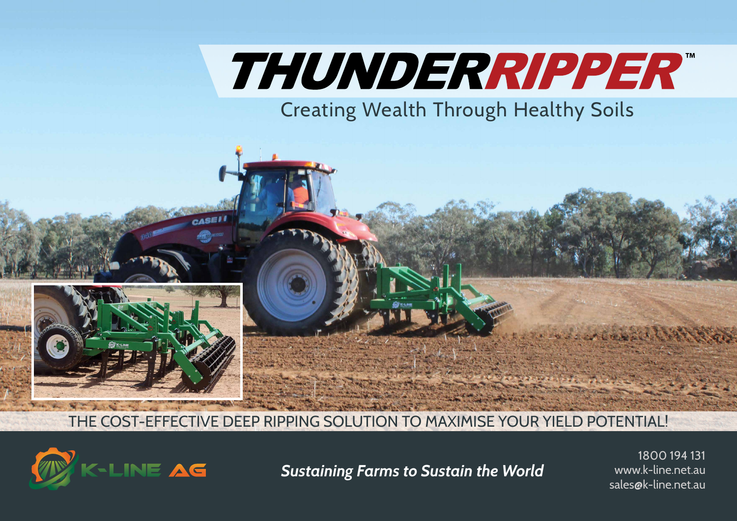# THUNDERRIPPER"

Creating Wealth Through Healthy Soils



THE COST-EFFECTIVE DEEP RIPPING SOLUTION TO MAXIMISE YOUR YIELD POTENTIAL!



**Sustaining Farms to Sustain the World** www.k-line.net.au **Sustaining Farms to Sustain the World** 

1800 194 131 www.k-line.net.au